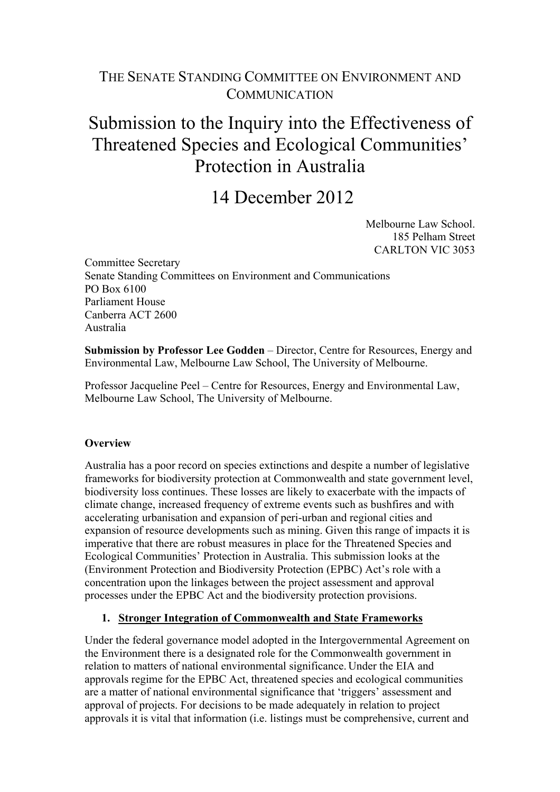# THE SENATE STANDING COMMITTEE ON ENVIRONMENT AND **COMMUNICATION**

# Submission to the Inquiry into the Effectiveness of Threatened Species and Ecological Communities' Protection in Australia

# 14 December 2012

Melbourne Law School. 185 Pelham Street CARLTON VIC 3053

Committee Secretary Senate Standing Committees on Environment and Communications PO Box 6100 Parliament House Canberra ACT 2600 Australia

**Submission by Professor Lee Godden** – Director, Centre for Resources, Energy and Environmental Law, Melbourne Law School, The University of Melbourne.

Professor Jacqueline Peel – Centre for Resources, Energy and Environmental Law, Melbourne Law School, The University of Melbourne.

#### **Overview**

Australia has a poor record on species extinctions and despite a number of legislative frameworks for biodiversity protection at Commonwealth and state government level, biodiversity loss continues. These losses are likely to exacerbate with the impacts of climate change, increased frequency of extreme events such as bushfires and with accelerating urbanisation and expansion of peri-urban and regional cities and expansion of resource developments such as mining. Given this range of impacts it is imperative that there are robust measures in place for the Threatened Species and Ecological Communities' Protection in Australia. This submission looks at the (Environment Protection and Biodiversity Protection (EPBC) Act's role with a concentration upon the linkages between the project assessment and approval processes under the EPBC Act and the biodiversity protection provisions.

#### **1. Stronger Integration of Commonwealth and State Frameworks**

Under the federal governance model adopted in the Intergovernmental Agreement on the Environment there is a designated role for the Commonwealth government in relation to matters of national environmental significance. Under the EIA and approvals regime for the EPBC Act, threatened species and ecological communities are a matter of national environmental significance that 'triggers' assessment and approval of projects. For decisions to be made adequately in relation to project approvals it is vital that information (i.e. listings must be comprehensive, current and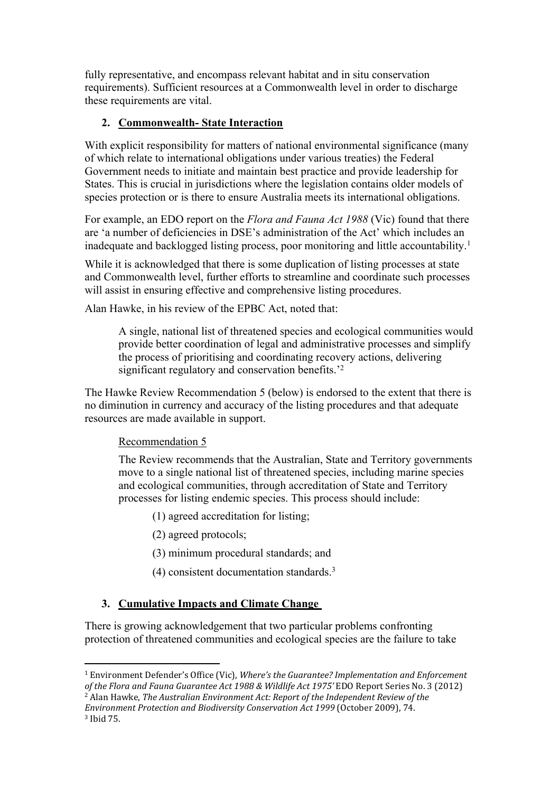fully representative, and encompass relevant habitat and in situ conservation requirements). Sufficient resources at a Commonwealth level in order to discharge these requirements are vital.

### **2. Commonwealth- State Interaction**

With explicit responsibility for matters of national environmental significance (many of which relate to international obligations under various treaties) the Federal Government needs to initiate and maintain best practice and provide leadership for States. This is crucial in jurisdictions where the legislation contains older models of species protection or is there to ensure Australia meets its international obligations.

For example, an EDO report on the *Flora and Fauna Act 1988* (Vic) found that there are 'a number of deficiencies in DSE's administration of the Act' which includes an inadequate and backlogged listing process, poor monitoring and little accountability.<sup>1</sup>

While it is acknowledged that there is some duplication of listing processes at state and Commonwealth level, further efforts to streamline and coordinate such processes will assist in ensuring effective and comprehensive listing procedures.

Alan Hawke, in his review of the EPBC Act, noted that:

A single, national list of threatened species and ecological communities would provide better coordination of legal and administrative processes and simplify the process of prioritising and coordinating recovery actions, delivering significant regulatory and conservation benefits.<sup>'2</sup>

The Hawke Review Recommendation 5 (below) is endorsed to the extent that there is no diminution in currency and accuracy of the listing procedures and that adequate resources are made available in support.

#### Recommendation 5

The Review recommends that the Australian, State and Territory governments move to a single national list of threatened species, including marine species and ecological communities, through accreditation of State and Territory processes for listing endemic species. This process should include:

- (1) agreed accreditation for listing;
- (2) agreed protocols;
- (3) minimum procedural standards; and
- (4) consistent documentation standards.<sup>3</sup>

## **3. Cumulative Impacts and Climate Change**

There is growing acknowledgement that two particular problems confronting protection of threatened communities and ecological species are the failure to take

<sup>1</sup> Environment Defender's Office (Vic), *Where's the Guarantee? Implementation and Enforcement of the Flora and Fauna Guarantee Act 1988 & Wildlife Act 1975'* EDO Report Series No. 3 (2012)

<sup>2</sup> Alan Hawke, *The Australian Environment Act: Report of the Independent Review of the Environment Protection and Biodiversity Conservation Act 1999* (October 2009), 74. 3 Ibid 75.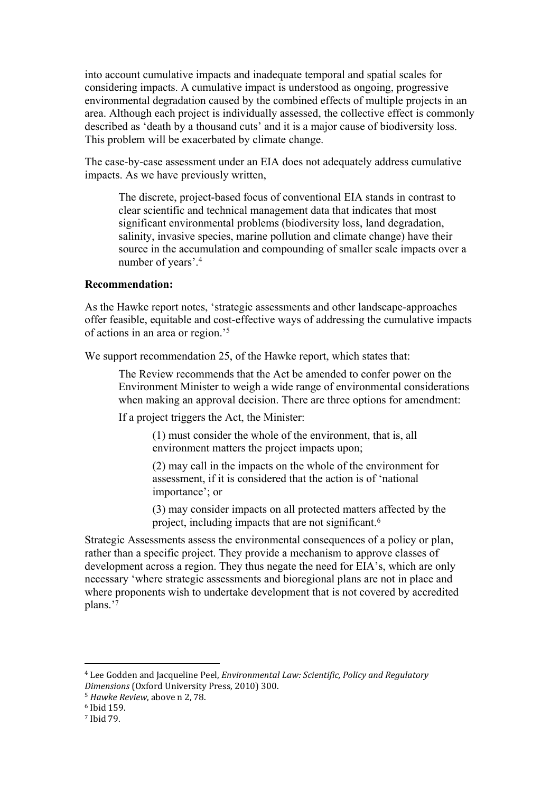into account cumulative impacts and inadequate temporal and spatial scales for considering impacts. A cumulative impact is understood as ongoing, progressive environmental degradation caused by the combined effects of multiple projects in an area. Although each project is individually assessed, the collective effect is commonly described as 'death by a thousand cuts' and it is a major cause of biodiversity loss. This problem will be exacerbated by climate change.

The case-by-case assessment under an EIA does not adequately address cumulative impacts. As we have previously written,

The discrete, project-based focus of conventional EIA stands in contrast to clear scientific and technical management data that indicates that most significant environmental problems (biodiversity loss, land degradation, salinity, invasive species, marine pollution and climate change) have their source in the accumulation and compounding of smaller scale impacts over a number of years'.<sup>4</sup>

#### **Recommendation:**

As the Hawke report notes, 'strategic assessments and other landscape-approaches offer feasible, equitable and cost-effective ways of addressing the cumulative impacts of actions in an area or region.'<sup>5</sup>

We support recommendation 25, of the Hawke report, which states that:

The Review recommends that the Act be amended to confer power on the Environment Minister to weigh a wide range of environmental considerations when making an approval decision. There are three options for amendment:

If a project triggers the Act, the Minister:

(1) must consider the whole of the environment, that is, all environment matters the project impacts upon;

(2) may call in the impacts on the whole of the environment for assessment, if it is considered that the action is of 'national importance'; or

(3) may consider impacts on all protected matters affected by the project, including impacts that are not significant.<sup>6</sup>

Strategic Assessments assess the environmental consequences of a policy or plan, rather than a specific project. They provide a mechanism to approve classes of development across a region. They thus negate the need for EIA's, which are only necessary 'where strategic assessments and bioregional plans are not in place and where proponents wish to undertake development that is not covered by accredited plans.'<sup>7</sup>

<sup>4</sup> Lee Godden and Jacqueline Peel, *Environmental Law: Scientific, Policy and Regulatory Dimensions* (Oxford University Press, 2010) 300.

<sup>5</sup> *Hawke Review*, above n 2, 78.

<sup>6</sup> Ibid 159.

<sup>7</sup> Ibid 79.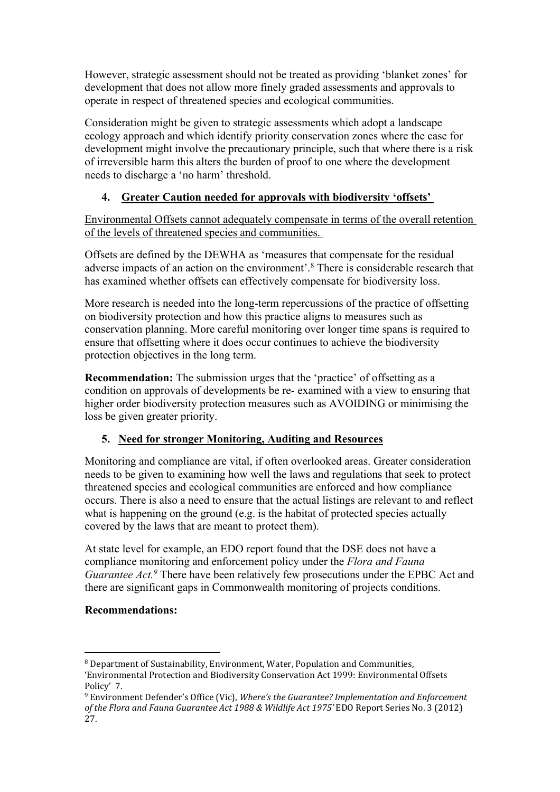However, strategic assessment should not be treated as providing 'blanket zones' for development that does not allow more finely graded assessments and approvals to operate in respect of threatened species and ecological communities.

Consideration might be given to strategic assessments which adopt a landscape ecology approach and which identify priority conservation zones where the case for development might involve the precautionary principle, such that where there is a risk of irreversible harm this alters the burden of proof to one where the development needs to discharge a 'no harm' threshold.

## **4. Greater Caution needed for approvals with biodiversity 'offsets'**

Environmental Offsets cannot adequately compensate in terms of the overall retention of the levels of threatened species and communities.

Offsets are defined by the DEWHA as 'measures that compensate for the residual adverse impacts of an action on the environment'.<sup>8</sup> There is considerable research that has examined whether offsets can effectively compensate for biodiversity loss.

More research is needed into the long-term repercussions of the practice of offsetting on biodiversity protection and how this practice aligns to measures such as conservation planning. More careful monitoring over longer time spans is required to ensure that offsetting where it does occur continues to achieve the biodiversity protection objectives in the long term.

**Recommendation:** The submission urges that the 'practice' of offsetting as a condition on approvals of developments be re- examined with a view to ensuring that higher order biodiversity protection measures such as AVOIDING or minimising the loss be given greater priority.

#### **5. Need for stronger Monitoring, Auditing and Resources**

Monitoring and compliance are vital, if often overlooked areas. Greater consideration needs to be given to examining how well the laws and regulations that seek to protect threatened species and ecological communities are enforced and how compliance occurs. There is also a need to ensure that the actual listings are relevant to and reflect what is happening on the ground (e.g. is the habitat of protected species actually covered by the laws that are meant to protect them).

At state level for example, an EDO report found that the DSE does not have a compliance monitoring and enforcement policy under the *Flora and Fauna Guarantee Act.<sup>9</sup>* There have been relatively few prosecutions under the EPBC Act and there are significant gaps in Commonwealth monitoring of projects conditions.

#### **Recommendations:**

<sup>8</sup> Department of Sustainability, Environment, Water, Population and Communities,

<sup>&#</sup>x27;Environmental Protection and Biodiversity Conservation Act 1999: Environmental Offsets Policy' 7.

<sup>9</sup> Environment Defender's Office (Vic), *Where's the Guarantee? Implementation and Enforcement of the Flora and Fauna Guarantee Act 1988 & Wildlife Act 1975'* EDO Report Series No. 3 (2012) 27.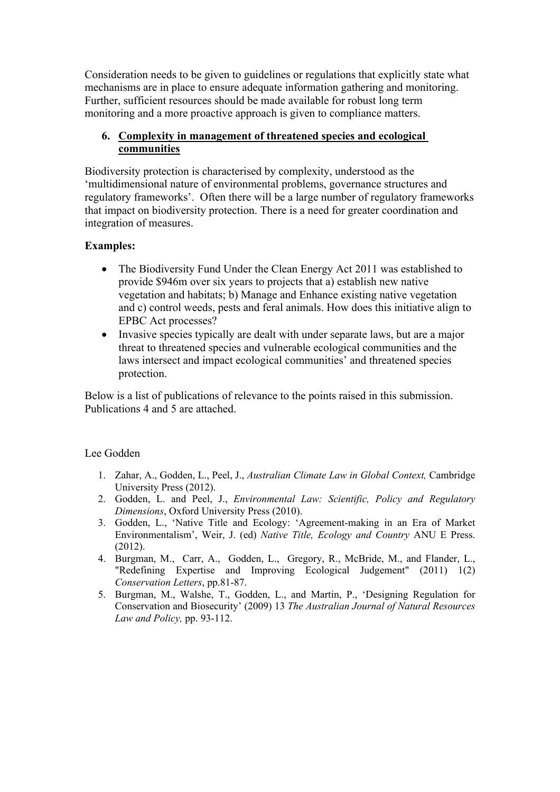Consideration needs to be given to guidelines or regulations that explicitly state what mechanisms are in place to ensure adequate information gathering and monitoring. Further, sufficient resources should be made available for robust long term monitoring and a more proactive approach is given to compliance matters.

#### **6. Complexity in management of threatened species and ecological communities**

Biodiversity protection is characterised by complexity, understood as the 'multidimensional nature of environmental problems, governance structures and regulatory frameworks'. Often there will be a large number of regulatory frameworks that impact on biodiversity protection. There is a need for greater coordination and integration of measures.

#### **Examples:**

- The Biodiversity Fund Under the Clean Energy Act 2011 was established to provide \$946m over six years to projects that a) establish new native vegetation and habitats; b) Manage and Enhance existing native vegetation and c) control weeds, pests and feral animals. How does this initiative align to EPBC Act processes?
- Invasive species typically are dealt with under separate laws, but are a major threat to threatened species and vulnerable ecological communities and the laws intersect and impact ecological communities' and threatened species protection.

Below is a list of publications of relevance to the points raised in this submission. Publications 4 and 5 are attached.

#### Lee Godden

- 1. Zahar, A., Godden, L., Peel, J., *Australian Climate Law in Global Context,* Cambridge University Press (2012).
- 2. Godden, L. and Peel, J., *Environmental Law: Scientific, Policy and Regulatory Dimensions*, Oxford University Press (2010).
- 3. Godden, L., 'Native Title and Ecology: 'Agreement-making in an Era of Market Environmentalism', Weir, J. (ed) *Native Title, Ecology and Country* ANU E Press. (2012).
- 4. Burgman, M., Carr, A., Godden, L., Gregory, R., McBride, M., and Flander, L., "Redefining Expertise and Improving Ecological Judgement" (2011) 1(2) *Conservation Letters*, pp.81-87.
- 5. Burgman, M., Walshe, T., Godden, L., and Martin, P., 'Designing Regulation for Conservation and Biosecurity' (2009) 13 *The Australian Journal of Natural Resources Law and Policy,* pp. 93-112.